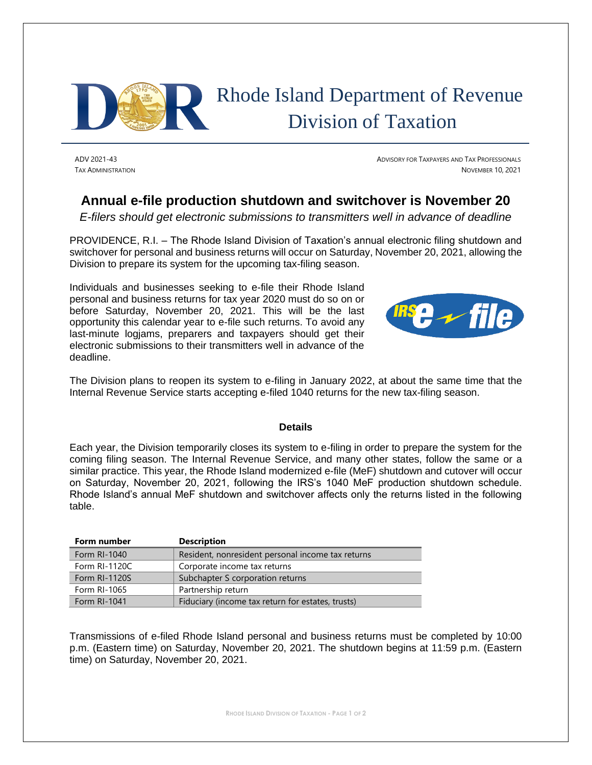

## Rhode Island Department of Revenue Division of Taxation

ADV 2021-43 ADVISORY FOR TAXPAYERS AND TAX PROFESSIONALS TAX ADMINISTRATION NOVEMBER 10, 2021

## **Annual e-file production shutdown and switchover is November 20**

*E-filers should get electronic submissions to transmitters well in advance of deadline*

PROVIDENCE, R.I. – The Rhode Island Division of Taxation's annual electronic filing shutdown and switchover for personal and business returns will occur on Saturday, November 20, 2021, allowing the Division to prepare its system for the upcoming tax-filing season.

Individuals and businesses seeking to e-file their Rhode Island personal and business returns for tax year 2020 must do so on or before Saturday, November 20, 2021. This will be the last opportunity this calendar year to e-file such returns. To avoid any last-minute logjams, preparers and taxpayers should get their electronic submissions to their transmitters well in advance of the deadline.



The Division plans to reopen its system to e-filing in January 2022, at about the same time that the Internal Revenue Service starts accepting e-filed 1040 returns for the new tax-filing season.

## **Details**

Each year, the Division temporarily closes its system to e-filing in order to prepare the system for the coming filing season. The Internal Revenue Service, and many other states, follow the same or a similar practice. This year, the Rhode Island modernized e-file (MeF) shutdown and cutover will occur on Saturday, November 20, 2021, following the IRS's 1040 MeF production shutdown schedule. Rhode Island's annual MeF shutdown and switchover affects only the returns listed in the following table.

| Form number   | <b>Description</b>                                |
|---------------|---------------------------------------------------|
| Form RI-1040  | Resident, nonresident personal income tax returns |
| Form RI-1120C | Corporate income tax returns                      |
| Form RI-1120S | Subchapter S corporation returns                  |
| Form RI-1065  | Partnership return                                |
| Form RI-1041  | Fiduciary (income tax return for estates, trusts) |

Transmissions of e-filed Rhode Island personal and business returns must be completed by 10:00 p.m. (Eastern time) on Saturday, November 20, 2021. The shutdown begins at 11:59 p.m. (Eastern time) on Saturday, November 20, 2021.